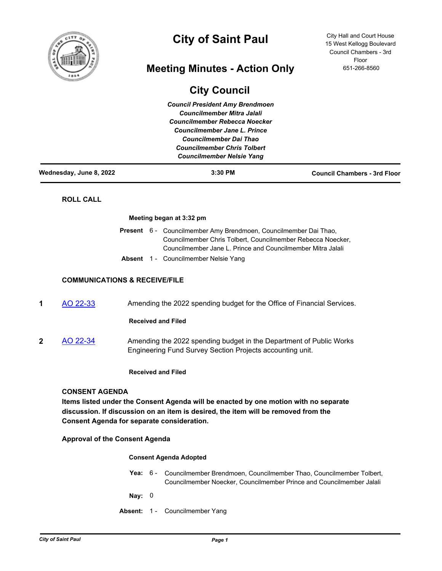

# **City of Saint Paul**

# **Meeting Minutes - Action Only**

# **City Council**

*Council President Amy Brendmoen Councilmember Mitra Jalali Councilmember Rebecca Noecker Councilmember Jane L. Prince Councilmember Dai Thao Councilmember Chris Tolbert Councilmember Nelsie Yang*

City Hall and Court House 15 West Kellogg Boulevard Council Chambers - 3rd Floor 651-266-8560

| Wednesday, June 8, 2022                  |                                                                                                                                  | 3:30 PM                                                                                                                                                                                        | <b>Council Chambers - 3rd Floor</b> |  |
|------------------------------------------|----------------------------------------------------------------------------------------------------------------------------------|------------------------------------------------------------------------------------------------------------------------------------------------------------------------------------------------|-------------------------------------|--|
| <b>ROLL CALL</b>                         |                                                                                                                                  |                                                                                                                                                                                                |                                     |  |
|                                          |                                                                                                                                  | Meeting began at 3:32 pm                                                                                                                                                                       |                                     |  |
|                                          |                                                                                                                                  | Present 6 - Councilmember Amy Brendmoen, Councilmember Dai Thao,<br>Councilmember Chris Tolbert, Councilmember Rebecca Noecker,<br>Councilmember Jane L. Prince and Councilmember Mitra Jalali |                                     |  |
|                                          |                                                                                                                                  | Absent 1 - Councilmember Nelsie Yang                                                                                                                                                           |                                     |  |
| <b>COMMUNICATIONS &amp; RECEIVE/FILE</b> |                                                                                                                                  |                                                                                                                                                                                                |                                     |  |
| AO 22-33<br>1                            |                                                                                                                                  | Amending the 2022 spending budget for the Office of Financial Services.                                                                                                                        |                                     |  |
|                                          | <b>Received and Filed</b>                                                                                                        |                                                                                                                                                                                                |                                     |  |
| 2<br>AO 22-34                            | Amending the 2022 spending budget in the Department of Public Works<br>Engineering Fund Survey Section Projects accounting unit. |                                                                                                                                                                                                |                                     |  |
|                                          | <b>Received and Filed</b>                                                                                                        |                                                                                                                                                                                                |                                     |  |

**Consent Agenda for separate consideration.**

**Approval of the Consent Agenda**

# **Consent Agenda Adopted**

Yea: 6 - Councilmember Brendmoen, Councilmember Thao, Councilmember Tolbert, Councilmember Noecker, Councilmember Prince and Councilmember Jalali

**Nay:** 0

**Absent:** 1 - Councilmember Yang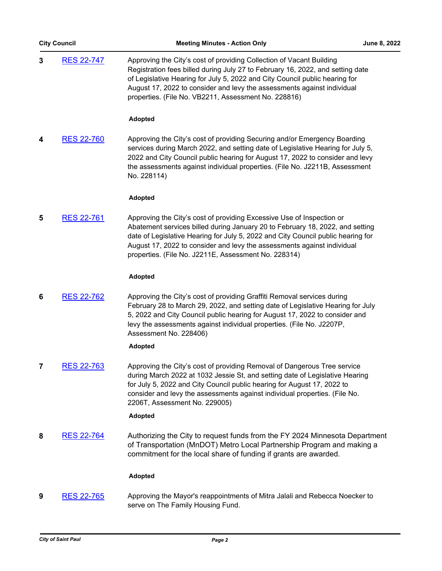|   | <b>City Council</b>       | <b>Meeting Minutes - Action Only</b>                                                                                                                                                                                                                                                                                                                                          | June 8, 2022 |
|---|---------------------------|-------------------------------------------------------------------------------------------------------------------------------------------------------------------------------------------------------------------------------------------------------------------------------------------------------------------------------------------------------------------------------|--------------|
| 3 | <b>RES 22-747</b>         | Approving the City's cost of providing Collection of Vacant Building<br>Registration fees billed during July 27 to February 16, 2022, and setting date<br>of Legislative Hearing for July 5, 2022 and City Council public hearing for<br>August 17, 2022 to consider and levy the assessments against individual<br>properties. (File No. VB2211, Assessment No. 228816)      |              |
|   |                           | <b>Adopted</b>                                                                                                                                                                                                                                                                                                                                                                |              |
| 4 | <b>RES 22-760</b>         | Approving the City's cost of providing Securing and/or Emergency Boarding<br>services during March 2022, and setting date of Legislative Hearing for July 5,<br>2022 and City Council public hearing for August 17, 2022 to consider and levy<br>the assessments against individual properties. (File No. J2211B, Assessment<br>No. 228114)                                   |              |
|   |                           | <b>Adopted</b>                                                                                                                                                                                                                                                                                                                                                                |              |
| 5 | <b>RES 22-761</b>         | Approving the City's cost of providing Excessive Use of Inspection or<br>Abatement services billed during January 20 to February 18, 2022, and setting<br>date of Legislative Hearing for July 5, 2022 and City Council public hearing for<br>August 17, 2022 to consider and levy the assessments against individual<br>properties. (File No. J2211E, Assessment No. 228314) |              |
|   |                           | <b>Adopted</b>                                                                                                                                                                                                                                                                                                                                                                |              |
| 6 | <b>RES 22-762</b>         | Approving the City's cost of providing Graffiti Removal services during<br>February 28 to March 29, 2022, and setting date of Legislative Hearing for July<br>5, 2022 and City Council public hearing for August 17, 2022 to consider and<br>levy the assessments against individual properties. (File No. J2207P,<br>Assessment No. 228406)                                  |              |
|   |                           | <b>Adopted</b>                                                                                                                                                                                                                                                                                                                                                                |              |
| 7 | <b>RES 22-763</b>         | Approving the City's cost of providing Removal of Dangerous Tree service<br>during March 2022 at 1032 Jessie St, and setting date of Legislative Hearing<br>for July 5, 2022 and City Council public hearing for August 17, 2022 to<br>consider and levy the assessments against individual properties. (File No.<br>2206T, Assessment No. 229005)                            |              |
|   |                           | <b>Adopted</b>                                                                                                                                                                                                                                                                                                                                                                |              |
| 8 | <b>RES 22-764</b>         | Authorizing the City to request funds from the FY 2024 Minnesota Department<br>of Transportation (MnDOT) Metro Local Partnership Program and making a<br>commitment for the local share of funding if grants are awarded.                                                                                                                                                     |              |
|   |                           | <b>Adopted</b>                                                                                                                                                                                                                                                                                                                                                                |              |
| 9 | RES 22-765                | Approving the Mayor's reappointments of Mitra Jalali and Rebecca Noecker to<br>serve on The Family Housing Fund.                                                                                                                                                                                                                                                              |              |
|   | <b>City of Saint Paul</b> |                                                                                                                                                                                                                                                                                                                                                                               |              |
|   |                           | Page 2                                                                                                                                                                                                                                                                                                                                                                        |              |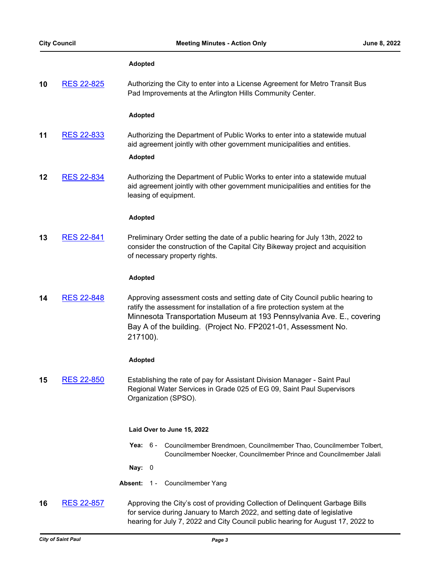# **Adopted**

| 10 | <b>RES 22-825</b> | Authorizing the City to enter into a License Agreement for Metro Transit Bus |  |
|----|-------------------|------------------------------------------------------------------------------|--|
|    |                   | Pad Improvements at the Arlington Hills Community Center.                    |  |

# **Adopted**

**11** [RES 22-833](http://stpaul.legistar.com/gateway.aspx?m=l&id=/matter.aspx?key=41902) Authorizing the Department of Public Works to enter into a statewide mutual aid agreement jointly with other government municipalities and entities.

# **Adopted**

**12** [RES 22-834](http://stpaul.legistar.com/gateway.aspx?m=l&id=/matter.aspx?key=41903) Authorizing the Department of Public Works to enter into a statewide mutual aid agreement jointly with other government municipalities and entities for the leasing of equipment.

#### **Adopted**

**13** [RES 22-841](http://stpaul.legistar.com/gateway.aspx?m=l&id=/matter.aspx?key=41912) Preliminary Order setting the date of a public hearing for July 13th, 2022 to consider the construction of the Capital City Bikeway project and acquisition of necessary property rights.

#### **Adopted**

**14** [RES 22-848](http://stpaul.legistar.com/gateway.aspx?m=l&id=/matter.aspx?key=41921) Approving assessment costs and setting date of City Council public hearing to ratify the assessment for installation of a fire protection system at the Minnesota Transportation Museum at 193 Pennsylvania Ave. E., covering Bay A of the building. (Project No. FP2021-01, Assessment No. 217100).

# **Adopted**

**15** [RES 22-850](http://stpaul.legistar.com/gateway.aspx?m=l&id=/matter.aspx?key=41924) Establishing the rate of pay for Assistant Division Manager - Saint Paul Regional Water Services in Grade 025 of EG 09, Saint Paul Supervisors Organization (SPSO).

#### **Laid Over to June 15, 2022**

Yea: 6 - Councilmember Brendmoen, Councilmember Thao, Councilmember Tolbert, Councilmember Noecker, Councilmember Prince and Councilmember Jalali

**Nay:** 0

**Absent:** 1 - Councilmember Yang

**16** [RES 22-857](http://stpaul.legistar.com/gateway.aspx?m=l&id=/matter.aspx?key=41933) Approving the City's cost of providing Collection of Delinquent Garbage Bills for service during January to March 2022, and setting date of legislative hearing for July 7, 2022 and City Council public hearing for August 17, 2022 to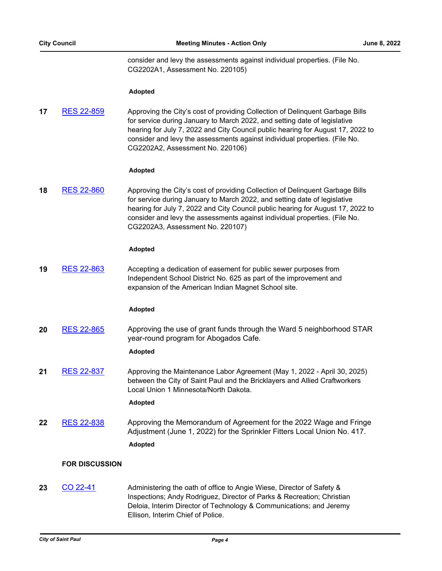consider and levy the assessments against individual properties. (File No. CG2202A1, Assessment No. 220105)

# **Adopted**

**17** [RES 22-859](http://stpaul.legistar.com/gateway.aspx?m=l&id=/matter.aspx?key=41935) Approving the City's cost of providing Collection of Delinquent Garbage Bills for service during January to March 2022, and setting date of legislative hearing for July 7, 2022 and City Council public hearing for August 17, 2022 to consider and levy the assessments against individual properties. (File No. CG2202A2, Assessment No. 220106)

#### **Adopted**

**18** [RES 22-860](http://stpaul.legistar.com/gateway.aspx?m=l&id=/matter.aspx?key=41936) Approving the City's cost of providing Collection of Delinquent Garbage Bills for service during January to March 2022, and setting date of legislative hearing for July 7, 2022 and City Council public hearing for August 17, 2022 to consider and levy the assessments against individual properties. (File No. CG2202A3, Assessment No. 220107)

#### **Adopted**

**19** [RES 22-863](http://stpaul.legistar.com/gateway.aspx?m=l&id=/matter.aspx?key=41940) Accepting a dedication of easement for public sewer purposes from Independent School District No. 625 as part of the improvement and expansion of the American Indian Magnet School site.

#### **Adopted**

**20** [RES 22-865](http://stpaul.legistar.com/gateway.aspx?m=l&id=/matter.aspx?key=41942) Approving the use of grant funds through the Ward 5 neighborhood STAR year-round program for Abogados Cafe.

#### **Adopted**

**21** [RES 22-837](http://stpaul.legistar.com/gateway.aspx?m=l&id=/matter.aspx?key=41907) Approving the Maintenance Labor Agreement (May 1, 2022 - April 30, 2025) between the City of Saint Paul and the Bricklayers and Allied Craftworkers Local Union 1 Minnesota/North Dakota.

# **Adopted**

**22** [RES 22-838](http://stpaul.legistar.com/gateway.aspx?m=l&id=/matter.aspx?key=41909) Approving the Memorandum of Agreement for the 2022 Wage and Fringe Adjustment (June 1, 2022) for the Sprinkler Fitters Local Union No. 417. **Adopted**

# **FOR DISCUSSION**

**23** [CO 22-41](http://stpaul.legistar.com/gateway.aspx?m=l&id=/matter.aspx?key=41965) Administering the oath of office to Angie Wiese, Director of Safety & Inspections; Andy Rodriguez, Director of Parks & Recreation; Christian Deloia, Interim Director of Technology & Communications; and Jeremy Ellison, Interim Chief of Police.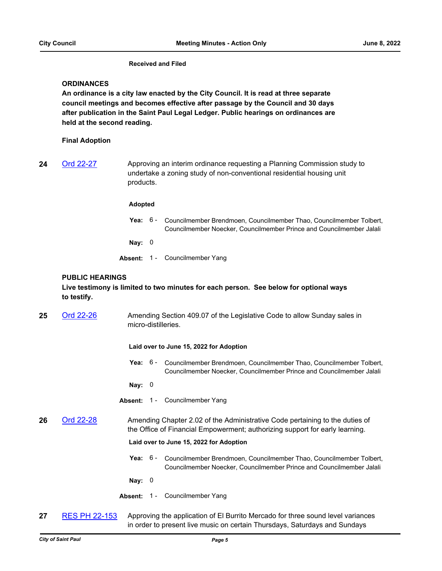# **Received and Filed**

# **ORDINANCES**

**An ordinance is a city law enacted by the City Council. It is read at three separate council meetings and becomes effective after passage by the Council and 30 days after publication in the Saint Paul Legal Ledger. Public hearings on ordinances are held at the second reading.**

# **Final Adoption**

**24** [Ord 22-27](http://stpaul.legistar.com/gateway.aspx?m=l&id=/matter.aspx?key=41892) Approving an interim ordinance requesting a Planning Commission study to undertake a zoning study of non-conventional residential housing unit products.

#### **Adopted**

- **Yea:** Councilmember Brendmoen, Councilmember Thao, Councilmember Tolbert, Councilmember Noecker, Councilmember Prince and Councilmember Jalali Yea:  $6 -$
- **Nay:** 0
- **Absent:** 1 Councilmember Yang

# **PUBLIC HEARINGS**

**Live testimony is limited to two minutes for each person. See below for optional ways to testify.**

25 [Ord 22-26](http://stpaul.legistar.com/gateway.aspx?m=l&id=/matter.aspx?key=41851) Amending Section 409.07 of the Legislative Code to allow Sunday sales in micro-distilleries.

#### **Laid over to June 15, 2022 for Adoption**

Yea: 6 - Councilmember Brendmoen, Councilmember Thao, Councilmember Tolbert, Councilmember Noecker, Councilmember Prince and Councilmember Jalali

**Nay:** 0

- **Absent:** 1 Councilmember Yang
- **26** [Ord 22-28](http://stpaul.legistar.com/gateway.aspx?m=l&id=/matter.aspx?key=41931) Amending Chapter 2.02 of the Administrative Code pertaining to the duties of the Office of Financial Empowerment; authorizing support for early learning.

# **Laid over to June 15, 2022 for Adoption**

Yea: 6 - Councilmember Brendmoen, Councilmember Thao, Councilmember Tolbert, Councilmember Noecker, Councilmember Prince and Councilmember Jalali

**Nay:** 0

- Absent: 1 Councilmember Yang
- **27** [RES PH 22-153](http://stpaul.legistar.com/gateway.aspx?m=l&id=/matter.aspx?key=41911) Approving the application of El Burrito Mercado for three sound level variances in order to present live music on certain Thursdays, Saturdays and Sundays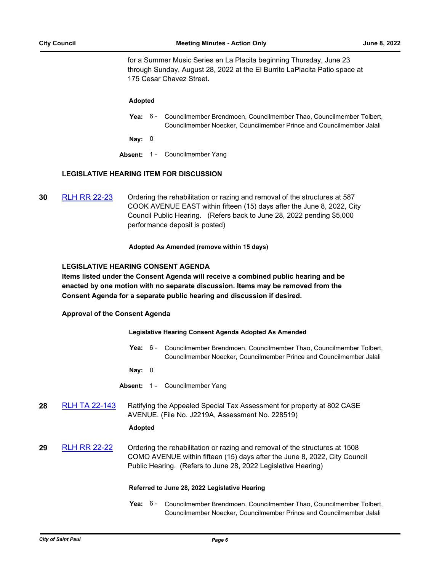for a Summer Music Series en La Placita beginning Thursday, June 23 through Sunday, August 28, 2022 at the El Burrito LaPlacita Patio space at 175 Cesar Chavez Street.

#### **Adopted**

Yea: 6 - Councilmember Brendmoen, Councilmember Thao, Councilmember Tolbert, Councilmember Noecker, Councilmember Prince and Councilmember Jalali

**Nay:** 0

**Absent:** 1 - Councilmember Yang

# **LEGISLATIVE HEARING ITEM FOR DISCUSSION**

**30** [RLH RR 22-23](http://stpaul.legistar.com/gateway.aspx?m=l&id=/matter.aspx?key=41598) Ordering the rehabilitation or razing and removal of the structures at 587 COOK AVENUE EAST within fifteen (15) days after the June 8, 2022, City Council Public Hearing. (Refers back to June 28, 2022 pending \$5,000 performance deposit is posted)

#### **Adopted As Amended (remove within 15 days)**

# **LEGISLATIVE HEARING CONSENT AGENDA**

**Items listed under the Consent Agenda will receive a combined public hearing and be enacted by one motion with no separate discussion. Items may be removed from the Consent Agenda for a separate public hearing and discussion if desired.**

# **Approval of the Consent Agenda**

#### **Legislative Hearing Consent Agenda Adopted As Amended**

Yea: 6 - Councilmember Brendmoen, Councilmember Thao, Councilmember Tolbert, Councilmember Noecker, Councilmember Prince and Councilmember Jalali

**Nay:** 0

**Absent:** 1 - Councilmember Yang

28 [RLH TA 22-143](http://stpaul.legistar.com/gateway.aspx?m=l&id=/matter.aspx?key=41587) Ratifying the Appealed Special Tax Assessment for property at 802 CASE AVENUE. (File No. J2219A, Assessment No. 228519)

# **Adopted**

**29** [RLH RR 22-22](http://stpaul.legistar.com/gateway.aspx?m=l&id=/matter.aspx?key=41597) Ordering the rehabilitation or razing and removal of the structures at 1508 COMO AVENUE within fifteen (15) days after the June 8, 2022, City Council Public Hearing. (Refers to June 28, 2022 Legislative Hearing)

# **Referred to June 28, 2022 Legislative Hearing**

Yea: 6 - Councilmember Brendmoen, Councilmember Thao, Councilmember Tolbert, Councilmember Noecker, Councilmember Prince and Councilmember Jalali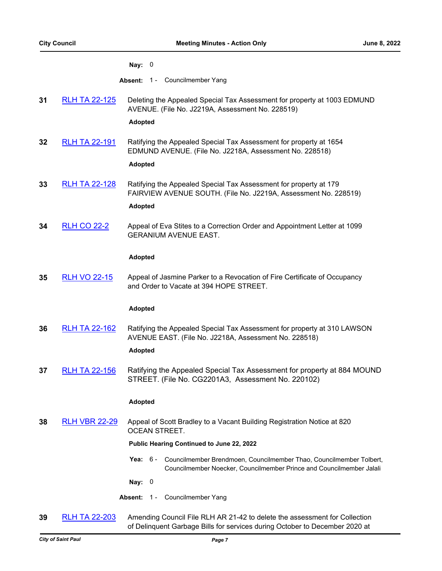#### **Nay:** 0

- **Absent:** 1 Councilmember Yang
- **31** [RLH TA 22-125](http://stpaul.legistar.com/gateway.aspx?m=l&id=/matter.aspx?key=41518) Deleting the Appealed Special Tax Assessment for property at 1003 EDMUND AVENUE. (File No. J2219A, Assessment No. 228519)

# **Adopted**

**32** [RLH TA 22-191](http://stpaul.legistar.com/gateway.aspx?m=l&id=/matter.aspx?key=41814) Ratifying the Appealed Special Tax Assessment for property at 1654 EDMUND AVENUE. (File No. J2218A, Assessment No. 228518)

#### **Adopted**

- **33** [RLH TA 22-128](http://stpaul.legistar.com/gateway.aspx?m=l&id=/matter.aspx?key=41525) Ratifying the Appealed Special Tax Assessment for property at 179 FAIRVIEW AVENUE SOUTH. (File No. J2219A, Assessment No. 228519) **Adopted**
- **34** [RLH CO 22-2](http://stpaul.legistar.com/gateway.aspx?m=l&id=/matter.aspx?key=41520) Appeal of Eva Stites to a Correction Order and Appointment Letter at 1099 GERANIUM AVENUE EAST.

#### **Adopted**

**35** [RLH VO 22-15](http://stpaul.legistar.com/gateway.aspx?m=l&id=/matter.aspx?key=41801) Appeal of Jasmine Parker to a Revocation of Fire Certificate of Occupancy and Order to Vacate at 394 HOPE STREET.

#### **Adopted**

**36** [RLH TA 22-162](http://stpaul.legistar.com/gateway.aspx?m=l&id=/matter.aspx?key=41665) Ratifying the Appealed Special Tax Assessment for property at 310 LAWSON AVENUE EAST. (File No. J2218A, Assessment No. 228518)

# **Adopted**

**37** [RLH TA 22-156](http://stpaul.legistar.com/gateway.aspx?m=l&id=/matter.aspx?key=41641) Ratifying the Appealed Special Tax Assessment for property at 884 MOUND STREET. (File No. CG2201A3, Assessment No. 220102)

# **Adopted**

**38** [RLH VBR 22-29](http://stpaul.legistar.com/gateway.aspx?m=l&id=/matter.aspx?key=41960) Appeal of Scott Bradley to a Vacant Building Registration Notice at 820 OCEAN STREET.

#### **Public Hearing Continued to June 22, 2022**

Yea: 6 - Councilmember Brendmoen, Councilmember Thao, Councilmember Tolbert, Councilmember Noecker, Councilmember Prince and Councilmember Jalali

**Nay:** 0

- Absent: 1 Councilmember Yang
- **39** [RLH TA 22-203](http://stpaul.legistar.com/gateway.aspx?m=l&id=/matter.aspx?key=41904) Amending Council File RLH AR 21-42 to delete the assessment for Collection of Delinquent Garbage Bills for services during October to December 2020 at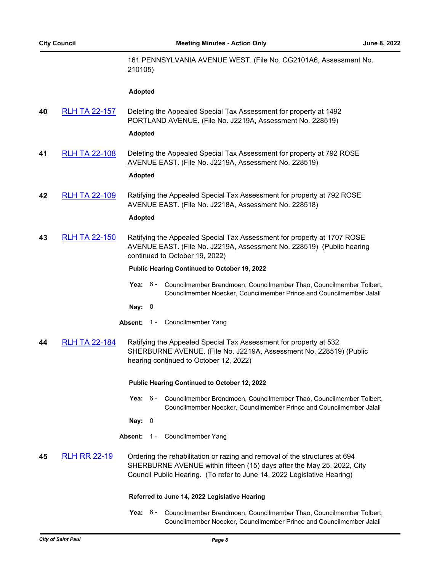161 PENNSYLVANIA AVENUE WEST. (File No. CG2101A6, Assessment No. 210105)

#### **Adopted**

**40** [RLH TA 22-157](http://stpaul.legistar.com/gateway.aspx?m=l&id=/matter.aspx?key=41644) Deleting the Appealed Special Tax Assessment for property at 1492 PORTLAND AVENUE. (File No. J2219A, Assessment No. 228519)

#### **Adopted**

**41** [RLH TA 22-108](http://stpaul.legistar.com/gateway.aspx?m=l&id=/matter.aspx?key=41442) Deleting the Appealed Special Tax Assessment for property at 792 ROSE AVENUE EAST. (File No. J2219A, Assessment No. 228519)

#### **Adopted**

**42** [RLH TA 22-109](http://stpaul.legistar.com/gateway.aspx?m=l&id=/matter.aspx?key=41445) Ratifying the Appealed Special Tax Assessment for property at 792 ROSE AVENUE EAST. (File No. J2218A, Assessment No. 228518)

# **Adopted**

**43** [RLH TA 22-150](http://stpaul.legistar.com/gateway.aspx?m=l&id=/matter.aspx?key=41615) Ratifying the Appealed Special Tax Assessment for property at 1707 ROSE AVENUE EAST. (File No. J2219A, Assessment No. 228519) (Public hearing continued to October 19, 2022)

#### **Public Hearing Continued to October 19, 2022**

- Yea: 6 Councilmember Brendmoen, Councilmember Thao, Councilmember Tolbert, Councilmember Noecker, Councilmember Prince and Councilmember Jalali
- **Nay:** 0
- **Absent:** 1 Councilmember Yang
- **44** [RLH TA 22-184](http://stpaul.legistar.com/gateway.aspx?m=l&id=/matter.aspx?key=41769) Ratifying the Appealed Special Tax Assessment for property at 532 SHERBURNE AVENUE. (File No. J2219A, Assessment No. 228519) (Public hearing continued to October 12, 2022)

#### **Public Hearing Continued to October 12, 2022**

- Yea: 6 Councilmember Brendmoen, Councilmember Thao, Councilmember Tolbert, Councilmember Noecker, Councilmember Prince and Councilmember Jalali
- **Nay:** 0
- **Absent:** 1 Councilmember Yang

# **45** [RLH RR 22-19](http://stpaul.legistar.com/gateway.aspx?m=l&id=/matter.aspx?key=41476) Ordering the rehabilitation or razing and removal of the structures at 694 SHERBURNE AVENUE within fifteen (15) days after the May 25, 2022, City Council Public Hearing. (To refer to June 14, 2022 Legislative Hearing)

#### **Referred to June 14, 2022 Legislative Hearing**

Yea: 6 - Councilmember Brendmoen, Councilmember Thao, Councilmember Tolbert, Councilmember Noecker, Councilmember Prince and Councilmember Jalali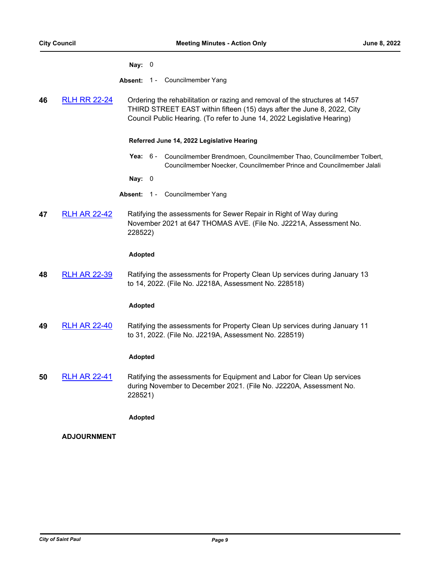#### **Nay:** 0

**Absent:** 1 - Councilmember Yang

**46** [RLH RR 22-24](http://stpaul.legistar.com/gateway.aspx?m=l&id=/matter.aspx?key=41599) Ordering the rehabilitation or razing and removal of the structures at 1457 THIRD STREET EAST within fifteen (15) days after the June 8, 2022, City Council Public Hearing. (To refer to June 14, 2022 Legislative Hearing)

# **Referred June 14, 2022 Legislative Hearing**

- Yea: 6 Councilmember Brendmoen, Councilmember Thao, Councilmember Tolbert, Councilmember Noecker, Councilmember Prince and Councilmember Jalali
- **Nay:** 0
- **Absent:** 1 Councilmember Yang
- **47** [RLH AR 22-42](http://stpaul.legistar.com/gateway.aspx?m=l&id=/matter.aspx?key=41473) Ratifying the assessments for Sewer Repair in Right of Way during November 2021 at 647 THOMAS AVE. (File No. J2221A, Assessment No. 228522)

# **Adopted**

**48** [RLH AR 22-39](http://stpaul.legistar.com/gateway.aspx?m=l&id=/matter.aspx?key=41469) Ratifying the assessments for Property Clean Up services during January 13 to 14, 2022. (File No. J2218A, Assessment No. 228518)

# **Adopted**

**49** [RLH AR 22-40](http://stpaul.legistar.com/gateway.aspx?m=l&id=/matter.aspx?key=41471) Ratifying the assessments for Property Clean Up services during January 11 to 31, 2022. (File No. J2219A, Assessment No. 228519)

# **Adopted**

**50** [RLH AR 22-41](http://stpaul.legistar.com/gateway.aspx?m=l&id=/matter.aspx?key=41472) Ratifying the assessments for Equipment and Labor for Clean Up services during November to December 2021. (File No. J2220A, Assessment No. 228521)

# **Adopted**

# **ADJOURNMENT**